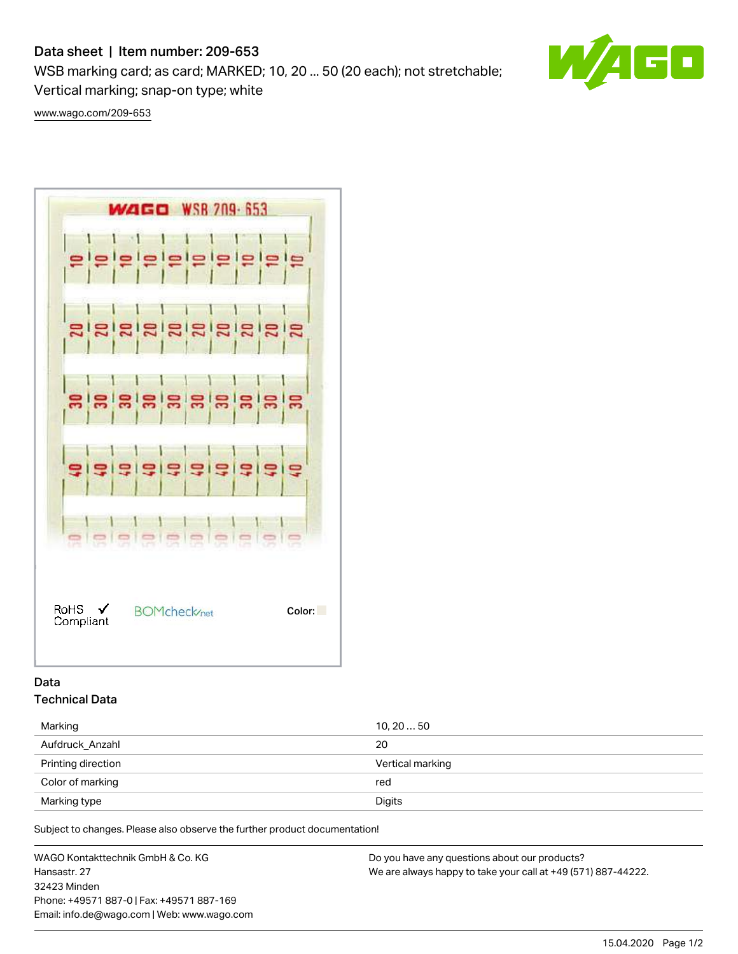# Data sheet | Item number: 209-653

WSB marking card; as card; MARKED; 10, 20 ... 50 (20 each); not stretchable;

Vertical marking; snap-on type; white

[www.wago.com/209-653](http://www.wago.com/209-653)



## Data Technical Data

| Marking            | 10, 20  50       |
|--------------------|------------------|
| Aufdruck Anzahl    | 20               |
| Printing direction | Vertical marking |
| Color of marking   | red              |
| Marking type       | Digits           |

Subject to changes. Please also observe the further product documentation!

WAGO Kontakttechnik GmbH & Co. KG Hansastr. 27 32423 Minden Phone: +49571 887-0 | Fax: +49571 887-169 Email: info.de@wago.com | Web: www.wago.com Do you have any questions about our products? We are always happy to take your call at +49 (571) 887-44222.



15.04.2020 Page 1/2